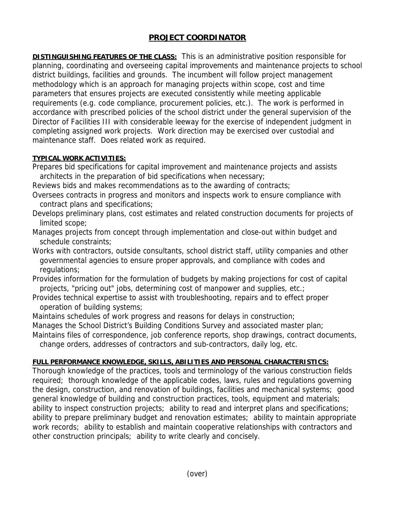## **PROJECT COORDINATOR**

**DISTINGUISHING FEATURES OF THE CLASS:** This is an administrative position responsible for planning, coordinating and overseeing capital improvements and maintenance projects to school district buildings, facilities and grounds. The incumbent will follow project management methodology which is an approach for managing projects within scope, cost and time parameters that ensures projects are executed consistently while meeting applicable requirements (e.g. code compliance, procurement policies, etc.). The work is performed in accordance with prescribed policies of the school district under the general supervision of the Director of Facilities III with considerable leeway for the exercise of independent judgment in completing assigned work projects. Work direction may be exercised over custodial and maintenance staff. Does related work as required.

## **TYPICAL WORK ACTIVITIES:**

Prepares bid specifications for capital improvement and maintenance projects and assists architects in the preparation of bid specifications when necessary;

Reviews bids and makes recommendations as to the awarding of contracts;

- Oversees contracts in progress and monitors and inspects work to ensure compliance with contract plans and specifications;
- Develops preliminary plans, cost estimates and related construction documents for projects of limited scope;
- Manages projects from concept through implementation and close-out within budget and schedule constraints;
- Works with contractors, outside consultants, school district staff, utility companies and other governmental agencies to ensure proper approvals, and compliance with codes and regulations;
- Provides information for the formulation of budgets by making projections for cost of capital projects, "pricing out" jobs, determining cost of manpower and supplies, etc.;
- Provides technical expertise to assist with troubleshooting, repairs and to effect proper operation of building systems;
- Maintains schedules of work progress and reasons for delays in construction;

Manages the School District's Building Conditions Survey and associated master plan;

Maintains files of correspondence, job conference reports, shop drawings, contract documents, change orders, addresses of contractors and sub-contractors, daily log, etc.

## **FULL PERFORMANCE KNOWLEDGE, SKILLS, ABILITIES AND PERSONAL CHARACTERISTICS:**

Thorough knowledge of the practices, tools and terminology of the various construction fields required; thorough knowledge of the applicable codes, laws, rules and regulations governing the design, construction, and renovation of buildings, facilities and mechanical systems; good general knowledge of building and construction practices, tools, equipment and materials; ability to inspect construction projects; ability to read and interpret plans and specifications; ability to prepare preliminary budget and renovation estimates; ability to maintain appropriate work records; ability to establish and maintain cooperative relationships with contractors and other construction principals; ability to write clearly and concisely.